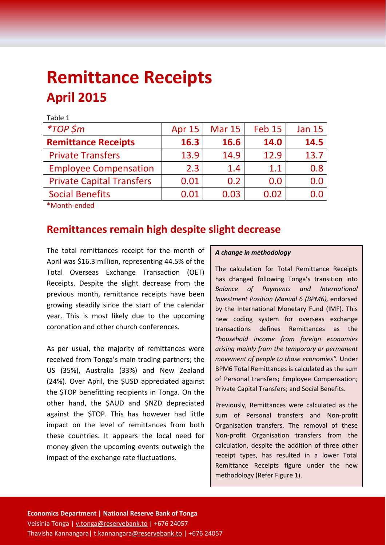# **Remittance Receipts April 2015**

| Table 1                          |               |               |               |               |
|----------------------------------|---------------|---------------|---------------|---------------|
| $*TOP$ \$m                       | <b>Apr 15</b> | <b>Mar 15</b> | <b>Feb 15</b> | <b>Jan 15</b> |
| <b>Remittance Receipts</b>       | 16.3          | 16.6          | 14.0          | 14.5          |
| <b>Private Transfers</b>         | 13.9          | 14.9          | 12.9          | 13.7          |
| <b>Employee Compensation</b>     | 2.3           | 1.4           | 1.1           | 0.8           |
| <b>Private Capital Transfers</b> | 0.01          | 0.2           | 0.0           | 0.0           |
| <b>Social Benefits</b>           | 0.01          | 0.03          | 0.02          | 0.Q           |
|                                  |               |               |               |               |

\*Month-ended

### **Remittances remain high despite slight decrease**

The total remittances receipt for the month of April was \$16.3 million, representing 44.5% of the Total Overseas Exchange Transaction (OET) Receipts. Despite the slight decrease from the previous month, remittance receipts have been growing steadily since the start of the calendar year. This is most likely due to the upcoming coronation and other church conferences.

As per usual, the majority of remittances were received from Tonga's main trading partners; the US (35%), Australia (33%) and New Zealand (24%). Over April, the \$USD appreciated against the \$TOP benefitting recipients in Tonga. On the other hand, the \$AUD and \$NZD depreciated against the \$TOP. This has however had little impact on the level of remittances from both these countries. It appears the local need for money given the upcoming events outweigh the impact of the exchange rate fluctuations.

#### *A change in methodology*

The calculation for Total Remittance Receipts has changed following Tonga's transition into *Balance of Payments and International Investment Position Manual 6 (BPM6),* endorsed by the International Monetary Fund (IMF). This new coding system for overseas exchange transactions defines Remittances as the *"household income from foreign economies arising mainly from the temporary or permanent movement of people to those economies".* Under BPM6 Total Remittances is calculated as the sum of Personal transfers; Employee Compensation; Private Capital Transfers; and Social Benefits.

Previously, Remittances were calculated as the sum of Personal transfers and Non-profit Organisation transfers. The removal of these Non-profit Organisation transfers from the calculation, despite the addition of three other receipt types, has resulted in a lower Total Remittance Receipts figure under the new methodology (Refer Figure 1).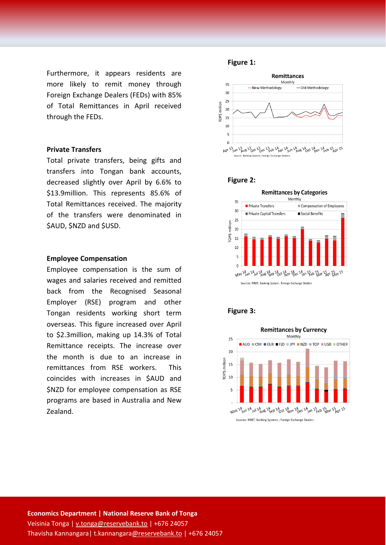Furthermore, it appears residents are more likely to remit money through Foreign Exchange Dealers (FEDs) with 85% of Total Remittances in April received through the FEDs.

#### **Private Transfers**

Total private transfers, being gifts and transfers into Tongan bank accounts, decreased slightly over April by 6.6% to \$13.9million. This represents 85.6% of Total Remittances received. The majority of the transfers were denominated in \$AUD, \$NZD and \$USD.

#### **Employee Compensation**

Employee compensation is the sum of wages and salaries received and remitted back from the Recognised Seasonal Employer (RSE) program and other Tongan residents working short term overseas. This figure increased over April to \$2.3million, making up 14.3% of Total Remittance receipts. The increase over the month is due to an increase in remittances from RSE workers. This coincides with increases in \$AUD and \$NZD for employee compensation as RSE programs are based in Australia and New Zealand.

#### **Figure 1:**







#### **Figure 3:**